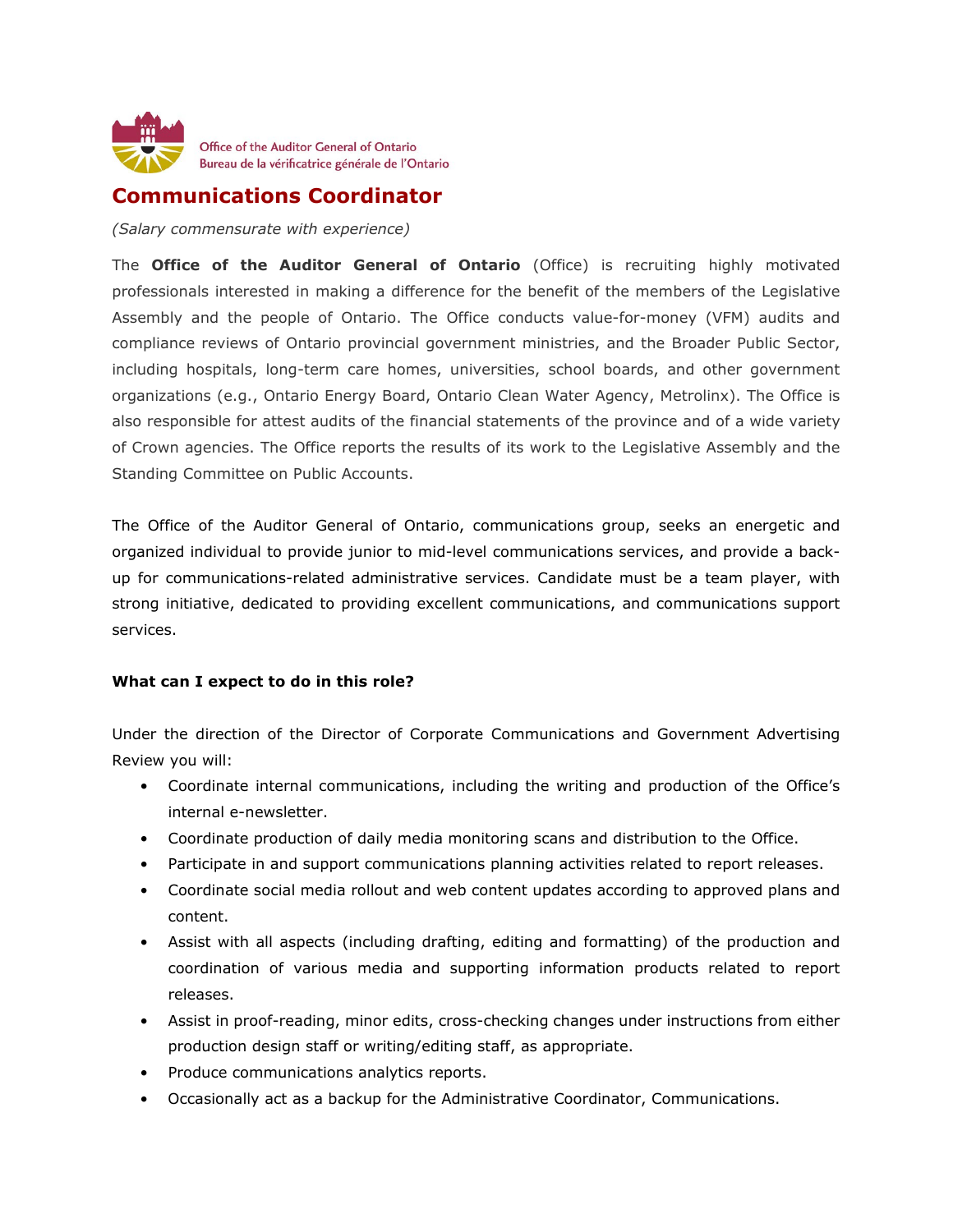

## **Communications Coordinator**

*(Salary commensurate with experience)*

The **Office of the Auditor General of Ontario** (Office) is recruiting highly motivated professionals interested in making a difference for the benefit of the members of the Legislative Assembly and the people of Ontario. The Office conducts value-for-money (VFM) audits and compliance reviews of Ontario provincial government ministries, and the Broader Public Sector, including hospitals, long-term care homes, universities, school boards, and other government organizations (e.g., Ontario Energy Board, Ontario Clean Water Agency, Metrolinx). The Office is also responsible for attest audits of the financial statements of the province and of a wide variety of Crown agencies. The Office reports the results of its work to the Legislative Assembly and the Standing Committee on Public Accounts.

The Office of the Auditor General of Ontario, communications group, seeks an energetic and organized individual to provide junior to mid-level communications services, and provide a backup for communications-related administrative services. Candidate must be a team player, with strong initiative, dedicated to providing excellent communications, and communications support services.

## **What can I expect to do in this role?**

Under the direction of the Director of Corporate Communications and Government Advertising Review you will:

- Coordinate internal communications, including the writing and production of the Office's internal e-newsletter.
- Coordinate production of daily media monitoring scans and distribution to the Office.
- Participate in and support communications planning activities related to report releases.
- Coordinate social media rollout and web content updates according to approved plans and content.
- Assist with all aspects (including drafting, editing and formatting) of the production and coordination of various media and supporting information products related to report releases.
- Assist in proof-reading, minor edits, cross-checking changes under instructions from either production design staff or writing/editing staff, as appropriate.
- Produce communications analytics reports.
- Occasionally act as a backup for the Administrative Coordinator, Communications.